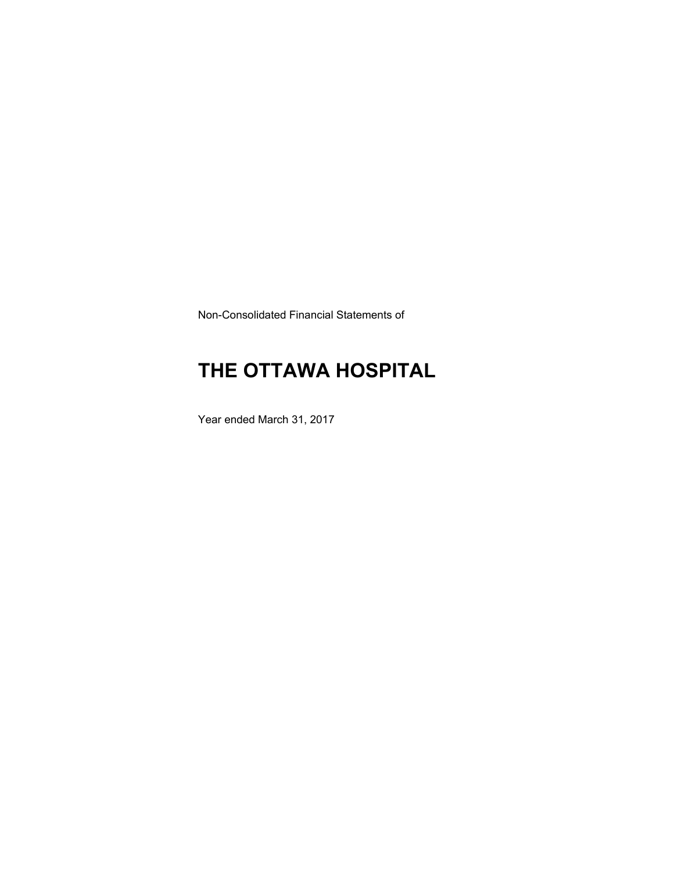Non-Consolidated Financial Statements of

# **THE OTTAWA HOSPITAL**

Year ended March 31, 2017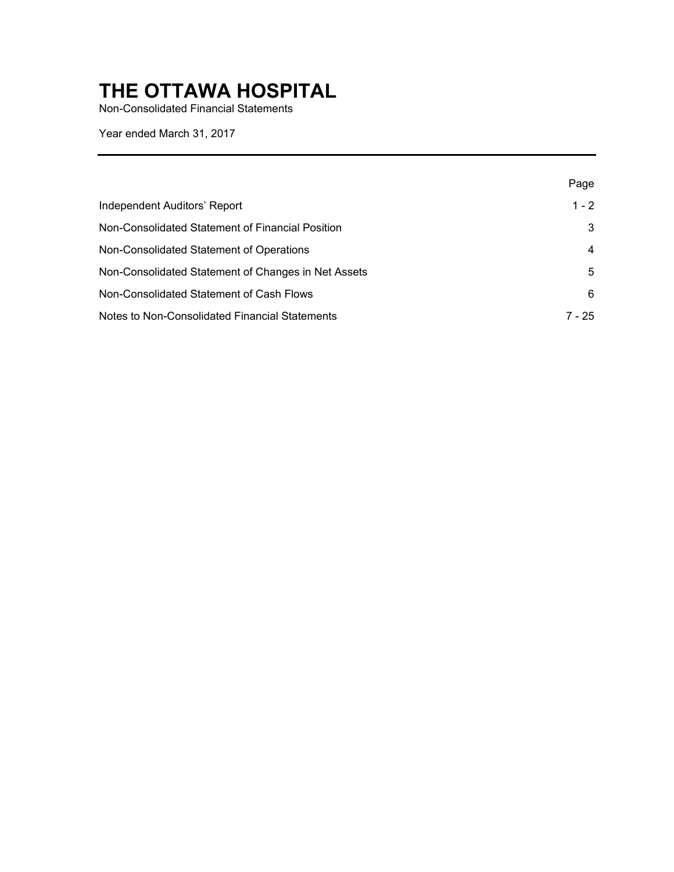Non-Consolidated Financial Statements

Year ended March 31, 2017

|                                                     | Page    |
|-----------------------------------------------------|---------|
| Independent Auditors' Report                        | $1 - 2$ |
| Non-Consolidated Statement of Financial Position    | 3       |
| Non-Consolidated Statement of Operations            | 4       |
| Non-Consolidated Statement of Changes in Net Assets | 5       |
| Non-Consolidated Statement of Cash Flows            | 6       |
| Notes to Non-Consolidated Financial Statements      | 7 - 25  |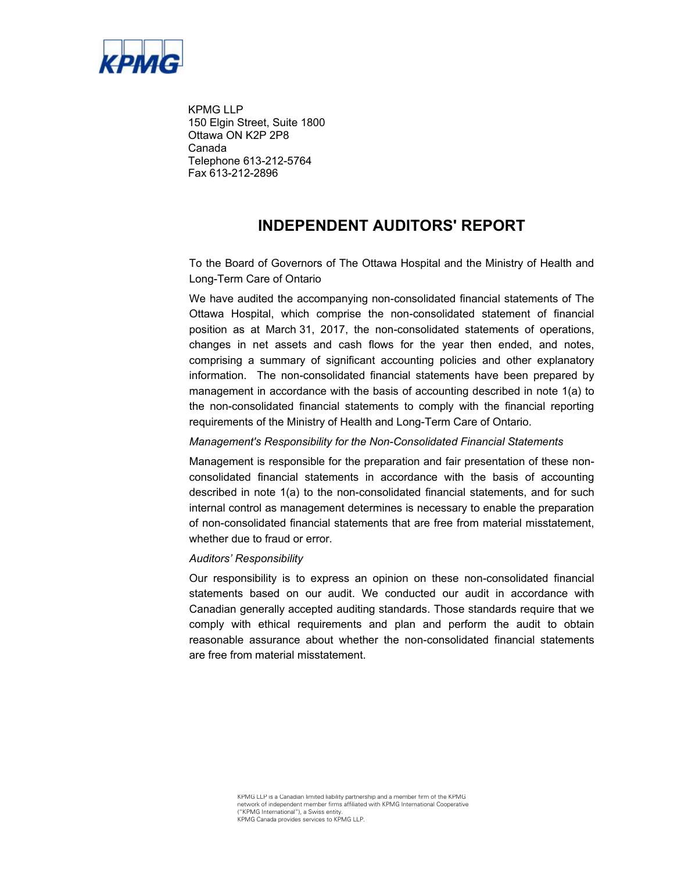

KPMG LLP 150 Elgin Street, Suite 1800 Ottawa ON K2P 2P8 Canada Telephone 613-212-5764 Fax 613-212-2896

# **INDEPENDENT AUDITORS' REPORT**

To the Board of Governors of The Ottawa Hospital and the Ministry of Health and Long-Term Care of Ontario

We have audited the accompanying non-consolidated financial statements of The Ottawa Hospital, which comprise the non-consolidated statement of financial position as at March 31, 2017, the non-consolidated statements of operations, changes in net assets and cash flows for the year then ended, and notes, comprising a summary of significant accounting policies and other explanatory information. The non-consolidated financial statements have been prepared by management in accordance with the basis of accounting described in note 1(a) to the non-consolidated financial statements to comply with the financial reporting requirements of the Ministry of Health and Long-Term Care of Ontario.

#### *Management's Responsibility for the Non-Consolidated Financial Statements*

Management is responsible for the preparation and fair presentation of these nonconsolidated financial statements in accordance with the basis of accounting described in note 1(a) to the non-consolidated financial statements, and for such internal control as management determines is necessary to enable the preparation of non-consolidated financial statements that are free from material misstatement, whether due to fraud or error.

#### *Auditors' Responsibility*

Our responsibility is to express an opinion on these non-consolidated financial statements based on our audit. We conducted our audit in accordance with Canadian generally accepted auditing standards. Those standards require that we comply with ethical requirements and plan and perform the audit to obtain reasonable assurance about whether the non-consolidated financial statements are free from material misstatement.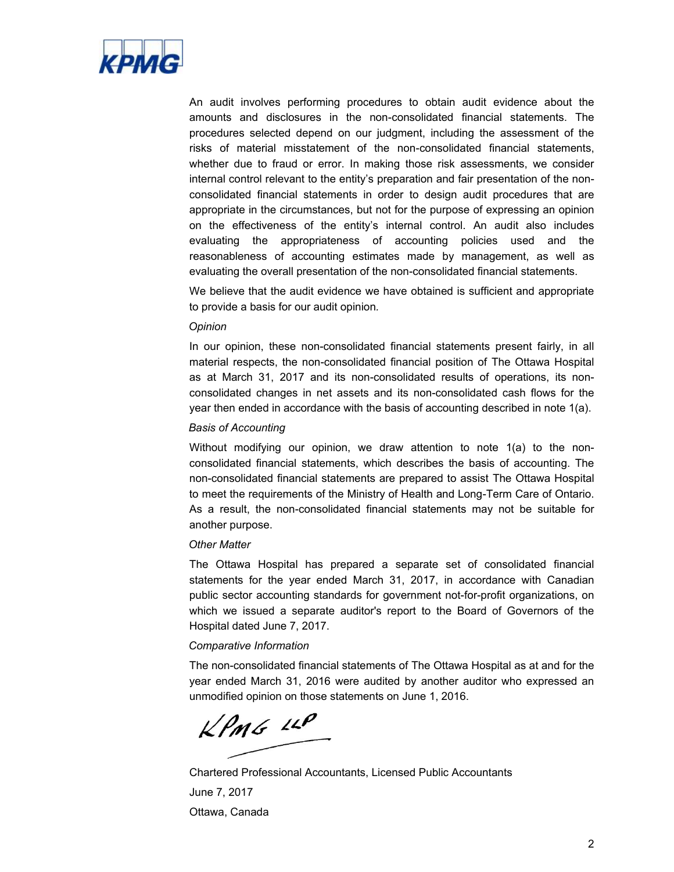

An audit involves performing procedures to obtain audit evidence about the amounts and disclosures in the non-consolidated financial statements. The procedures selected depend on our judgment, including the assessment of the risks of material misstatement of the non-consolidated financial statements, whether due to fraud or error. In making those risk assessments, we consider internal control relevant to the entity's preparation and fair presentation of the nonconsolidated financial statements in order to design audit procedures that are appropriate in the circumstances, but not for the purpose of expressing an opinion on the effectiveness of the entity's internal control. An audit also includes evaluating the appropriateness of accounting policies used and the reasonableness of accounting estimates made by management, as well as evaluating the overall presentation of the non-consolidated financial statements.

We believe that the audit evidence we have obtained is sufficient and appropriate to provide a basis for our audit opinion*.* 

#### *Opinion*

In our opinion, these non-consolidated financial statements present fairly, in all material respects, the non-consolidated financial position of The Ottawa Hospital as at March 31, 2017 and its non-consolidated results of operations, its nonconsolidated changes in net assets and its non-consolidated cash flows for the year then ended in accordance with the basis of accounting described in note 1(a).

#### *Basis of Accounting*

Without modifying our opinion, we draw attention to note 1(a) to the nonconsolidated financial statements, which describes the basis of accounting. The non-consolidated financial statements are prepared to assist The Ottawa Hospital to meet the requirements of the Ministry of Health and Long-Term Care of Ontario. As a result, the non-consolidated financial statements may not be suitable for another purpose.

#### *Other Matter*

The Ottawa Hospital has prepared a separate set of consolidated financial statements for the year ended March 31, 2017, in accordance with Canadian public sector accounting standards for government not-for-profit organizations, on which we issued a separate auditor's report to the Board of Governors of the Hospital dated June 7, 2017.

#### *Comparative Information*

The non-consolidated financial statements of The Ottawa Hospital as at and for the year ended March 31, 2016 were audited by another auditor who expressed an unmodified opinion on those statements on June 1, 2016.

 $KPMG$  11P

Chartered Professional Accountants, Licensed Public Accountants June 7, 2017 Ottawa, Canada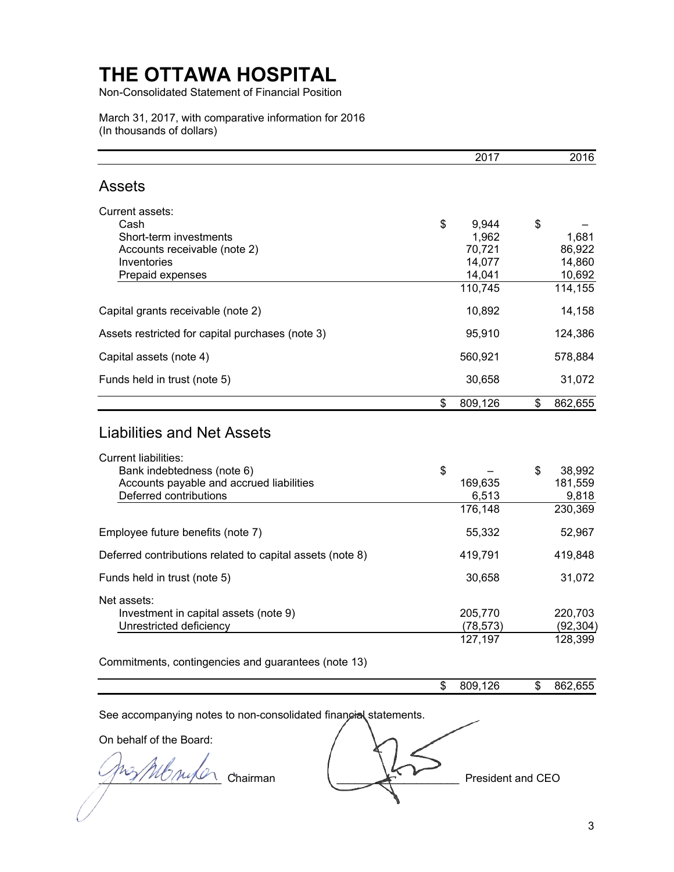Non-Consolidated Statement of Financial Position

March 31, 2017, with comparative information for 2016 (In thousands of dollars)

|                                                                                                                                                                      | 2017                                | 2016                                |
|----------------------------------------------------------------------------------------------------------------------------------------------------------------------|-------------------------------------|-------------------------------------|
| <b>Assets</b>                                                                                                                                                        |                                     |                                     |
| Current assets:<br>Cash                                                                                                                                              | \$<br>9,944                         | \$                                  |
| Short-term investments<br>Accounts receivable (note 2)<br>Inventories<br>Prepaid expenses                                                                            | 1,962<br>70,721<br>14,077<br>14,041 | 1,681<br>86,922<br>14,860<br>10,692 |
|                                                                                                                                                                      | 110,745                             | 114,155                             |
| Capital grants receivable (note 2)                                                                                                                                   | 10,892                              | 14,158                              |
| Assets restricted for capital purchases (note 3)                                                                                                                     | 95,910                              | 124,386                             |
| Capital assets (note 4)                                                                                                                                              | 560,921                             | 578,884                             |
| Funds held in trust (note 5)                                                                                                                                         | 30,658                              | 31,072                              |
|                                                                                                                                                                      | \$<br>809,126                       | \$<br>862,655                       |
| <b>Liabilities and Net Assets</b><br><b>Current liabilities:</b><br>Bank indebtedness (note 6)<br>Accounts payable and accrued liabilities<br>Deferred contributions | \$<br>169,635<br>6,513              | \$<br>38,992<br>181,559<br>9,818    |
|                                                                                                                                                                      | 176,148                             | 230,369                             |
| Employee future benefits (note 7)                                                                                                                                    | 55,332                              | 52,967                              |
| Deferred contributions related to capital assets (note 8)                                                                                                            | 419,791                             | 419,848                             |
| Funds held in trust (note 5)                                                                                                                                         | 30,658                              | 31,072                              |
| Net assets:<br>Investment in capital assets (note 9)<br>Unrestricted deficiency                                                                                      | 205,770<br>(78, 573)                | 220,703<br>(92, 304)                |
| Commitments, contingencies and guarantees (note 13)                                                                                                                  | 127,197                             | 128,399                             |
|                                                                                                                                                                      | \$<br>809,126                       | \$<br>862,655                       |
|                                                                                                                                                                      |                                     |                                     |
| See accompanying notes to non-consolidated financial statements.                                                                                                     |                                     |                                     |
| On behalf of the Board:                                                                                                                                              |                                     |                                     |
|                                                                                                                                                                      |                                     |                                     |

 $\frac{94}{\sqrt{100}}$   $\frac{1}{\sqrt{100}}$  Chairman  $\frac{1}{\sqrt{100}}$  President and CEO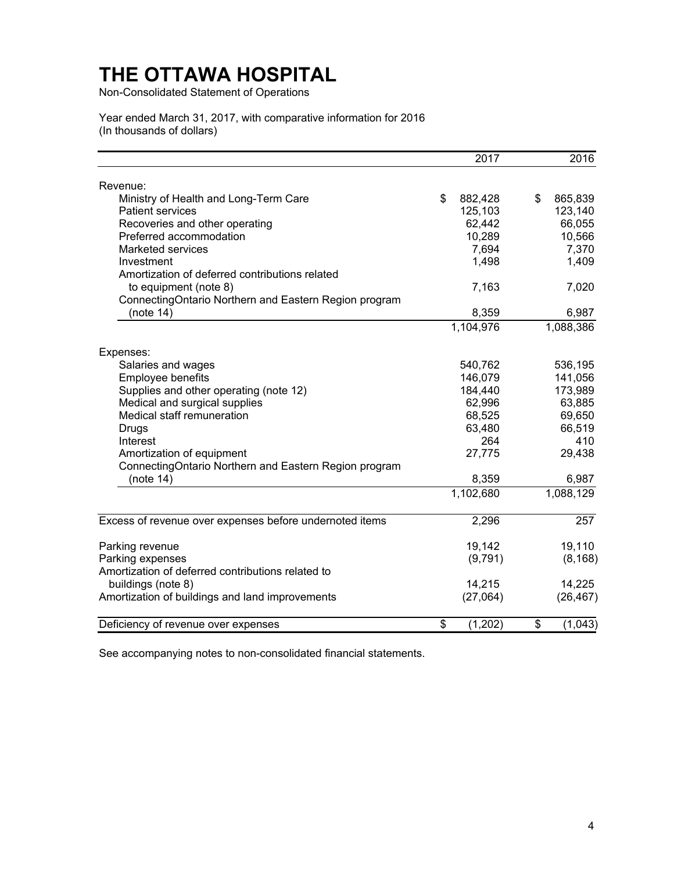Non-Consolidated Statement of Operations

Year ended March 31, 2017, with comparative information for 2016 (In thousands of dollars)

|                                                         | $201\overline{7}$ | 2016          |
|---------------------------------------------------------|-------------------|---------------|
| Revenue:                                                |                   |               |
| Ministry of Health and Long-Term Care                   | \$<br>882,428     | 865,839<br>\$ |
| <b>Patient services</b>                                 | 125,103           | 123,140       |
| Recoveries and other operating                          | 62,442            | 66,055        |
| Preferred accommodation                                 | 10,289            | 10,566        |
| <b>Marketed services</b>                                | 7,694             | 7,370         |
| Investment                                              | 1,498             | 1,409         |
| Amortization of deferred contributions related          |                   |               |
| to equipment (note 8)                                   | 7,163             | 7,020         |
| ConnectingOntario Northern and Eastern Region program   |                   |               |
| (note $14$ )                                            | 8,359             | 6,987         |
|                                                         | 1,104,976         | 1,088,386     |
|                                                         |                   |               |
| Expenses:                                               |                   |               |
| Salaries and wages                                      | 540,762           | 536,195       |
| Employee benefits                                       | 146,079           | 141,056       |
| Supplies and other operating (note 12)                  | 184,440           | 173,989       |
| Medical and surgical supplies                           | 62,996            | 63,885        |
| Medical staff remuneration                              | 68,525            | 69,650        |
| Drugs                                                   | 63,480            | 66,519        |
| Interest                                                | 264               | 410           |
| Amortization of equipment                               | 27,775            | 29,438        |
| ConnectingOntario Northern and Eastern Region program   |                   |               |
| (note $14$ )                                            | 8,359             | 6,987         |
|                                                         | 1,102,680         | 1,088,129     |
| Excess of revenue over expenses before undernoted items | 2,296             | 257           |
| Parking revenue                                         | 19,142            | 19,110        |
| Parking expenses                                        | (9,791)           | (8, 168)      |
| Amortization of deferred contributions related to       |                   |               |
| buildings (note 8)                                      | 14,215            | 14,225        |
| Amortization of buildings and land improvements         | (27,064)          | (26, 467)     |
|                                                         |                   |               |
| Deficiency of revenue over expenses                     | (1,202)<br>\$     | (1,043)<br>\$ |

See accompanying notes to non-consolidated financial statements.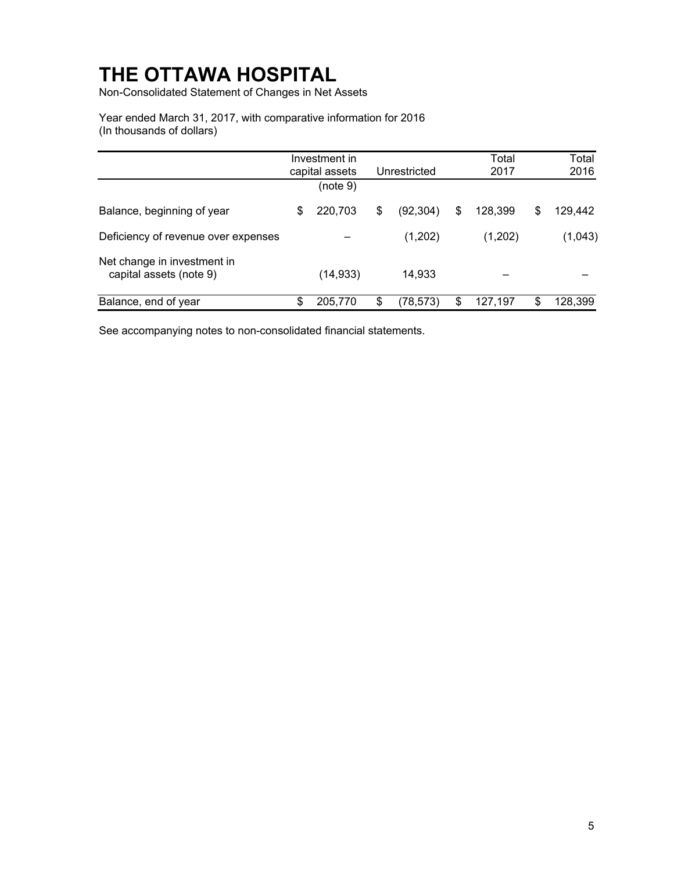Non-Consolidated Statement of Changes in Net Assets

Year ended March 31, 2017, with comparative information for 2016 (In thousands of dollars)

|                                                        | Investment in<br>capital assets | Unrestricted    | Total<br>2017 |    | Total<br>2016 |
|--------------------------------------------------------|---------------------------------|-----------------|---------------|----|---------------|
|                                                        | (note 9)                        |                 |               |    |               |
| Balance, beginning of year                             | \$<br>220,703                   | \$<br>(92, 304) | \$<br>128.399 | \$ | 129,442       |
| Deficiency of revenue over expenses                    |                                 | (1,202)         | (1,202)       |    | (1,043)       |
| Net change in investment in<br>capital assets (note 9) | (14, 933)                       | 14,933          |               |    |               |
| Balance, end of year                                   | \$<br>205,770                   | \$<br>(78, 573) | \$<br>127,197 | S  | 128,399       |

See accompanying notes to non-consolidated financial statements.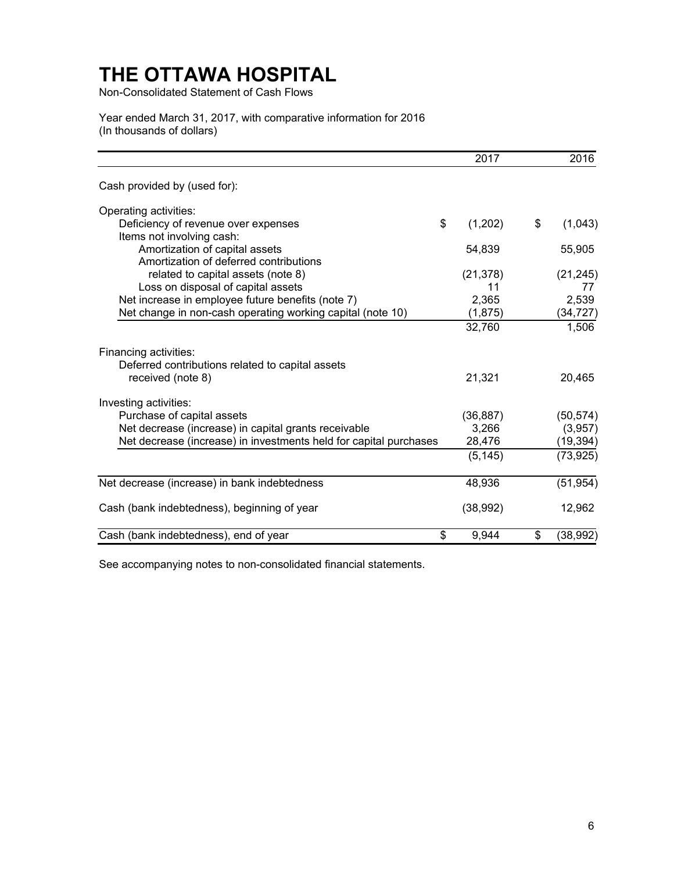Non-Consolidated Statement of Cash Flows

Year ended March 31, 2017, with comparative information for 2016 (In thousands of dollars)

|                                                                           | 2017      | 2016            |
|---------------------------------------------------------------------------|-----------|-----------------|
| Cash provided by (used for):                                              |           |                 |
| Operating activities:                                                     |           |                 |
| \$<br>Deficiency of revenue over expenses                                 | (1,202)   | \$<br>(1,043)   |
| Items not involving cash:                                                 |           |                 |
| Amortization of capital assets                                            | 54,839    | 55,905          |
| Amortization of deferred contributions                                    |           |                 |
| related to capital assets (note 8)                                        | (21, 378) | (21, 245)       |
| Loss on disposal of capital assets                                        | 11        | 77              |
| Net increase in employee future benefits (note 7)                         | 2,365     | 2,539           |
| Net change in non-cash operating working capital (note 10)                | (1,875)   | (34, 727)       |
|                                                                           | 32,760    | 1,506           |
| Financing activities:<br>Deferred contributions related to capital assets |           |                 |
| received (note 8)                                                         | 21,321    | 20,465          |
| Investing activities:                                                     |           |                 |
| Purchase of capital assets                                                | (36, 887) | (50, 574)       |
| Net decrease (increase) in capital grants receivable                      | 3,266     | (3,957)         |
| Net decrease (increase) in investments held for capital purchases         | 28,476    | (19, 394)       |
|                                                                           | (5, 145)  | (73, 925)       |
| Net decrease (increase) in bank indebtedness                              | 48,936    | (51, 954)       |
| Cash (bank indebtedness), beginning of year                               | (38, 992) | 12,962          |
| \$<br>Cash (bank indebtedness), end of year                               | 9,944     | \$<br>(38, 992) |

See accompanying notes to non-consolidated financial statements.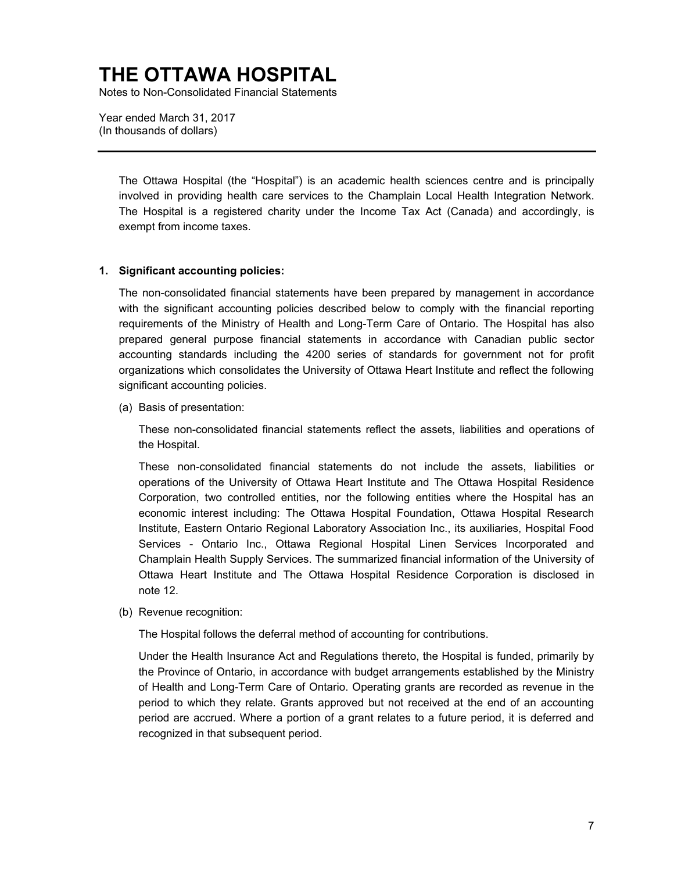Notes to Non-Consolidated Financial Statements

Year ended March 31, 2017 (In thousands of dollars)

> The Ottawa Hospital (the "Hospital") is an academic health sciences centre and is principally involved in providing health care services to the Champlain Local Health Integration Network. The Hospital is a registered charity under the Income Tax Act (Canada) and accordingly, is exempt from income taxes.

### **1. Significant accounting policies:**

The non-consolidated financial statements have been prepared by management in accordance with the significant accounting policies described below to comply with the financial reporting requirements of the Ministry of Health and Long-Term Care of Ontario. The Hospital has also prepared general purpose financial statements in accordance with Canadian public sector accounting standards including the 4200 series of standards for government not for profit organizations which consolidates the University of Ottawa Heart Institute and reflect the following significant accounting policies.

(a) Basis of presentation:

These non-consolidated financial statements reflect the assets, liabilities and operations of the Hospital.

These non-consolidated financial statements do not include the assets, liabilities or operations of the University of Ottawa Heart Institute and The Ottawa Hospital Residence Corporation, two controlled entities, nor the following entities where the Hospital has an economic interest including: The Ottawa Hospital Foundation, Ottawa Hospital Research Institute, Eastern Ontario Regional Laboratory Association Inc., its auxiliaries, Hospital Food Services - Ontario Inc., Ottawa Regional Hospital Linen Services Incorporated and Champlain Health Supply Services. The summarized financial information of the University of Ottawa Heart Institute and The Ottawa Hospital Residence Corporation is disclosed in note 12.

(b) Revenue recognition:

The Hospital follows the deferral method of accounting for contributions.

Under the Health Insurance Act and Regulations thereto, the Hospital is funded, primarily by the Province of Ontario, in accordance with budget arrangements established by the Ministry of Health and Long-Term Care of Ontario. Operating grants are recorded as revenue in the period to which they relate. Grants approved but not received at the end of an accounting period are accrued. Where a portion of a grant relates to a future period, it is deferred and recognized in that subsequent period.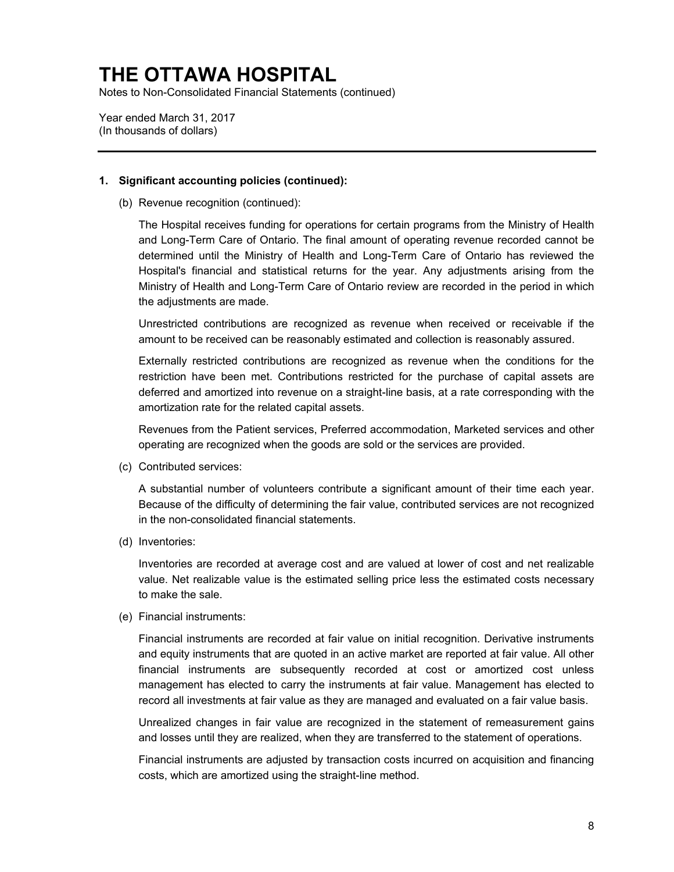Notes to Non-Consolidated Financial Statements (continued)

Year ended March 31, 2017 (In thousands of dollars)

### **1. Significant accounting policies (continued):**

(b) Revenue recognition (continued):

The Hospital receives funding for operations for certain programs from the Ministry of Health and Long-Term Care of Ontario. The final amount of operating revenue recorded cannot be determined until the Ministry of Health and Long-Term Care of Ontario has reviewed the Hospital's financial and statistical returns for the year. Any adjustments arising from the Ministry of Health and Long-Term Care of Ontario review are recorded in the period in which the adjustments are made.

Unrestricted contributions are recognized as revenue when received or receivable if the amount to be received can be reasonably estimated and collection is reasonably assured.

Externally restricted contributions are recognized as revenue when the conditions for the restriction have been met. Contributions restricted for the purchase of capital assets are deferred and amortized into revenue on a straight-line basis, at a rate corresponding with the amortization rate for the related capital assets.

Revenues from the Patient services, Preferred accommodation, Marketed services and other operating are recognized when the goods are sold or the services are provided.

(c) Contributed services:

A substantial number of volunteers contribute a significant amount of their time each year. Because of the difficulty of determining the fair value, contributed services are not recognized in the non-consolidated financial statements.

(d) Inventories:

Inventories are recorded at average cost and are valued at lower of cost and net realizable [value. Net](http://value.net/) realizable value is the estimated selling price less the estimated costs necessary to make the sale.

(e) Financial instruments:

Financial instruments are recorded at fair value on initial recognition. Derivative instruments and equity instruments that are quoted in an active market are reported at fair value. All other financial instruments are subsequently recorded at cost or amortized cost unless management has elected to carry the instruments at fair value. Management has elected to record all investments at fair value as they are managed and evaluated on a fair value basis.

Unrealized changes in fair value are recognized in the statement of remeasurement gains and losses until they are realized, when they are transferred to the statement of operations.

Financial instruments are adjusted by transaction costs incurred on acquisition and financing costs, which are amortized using the straight-line method.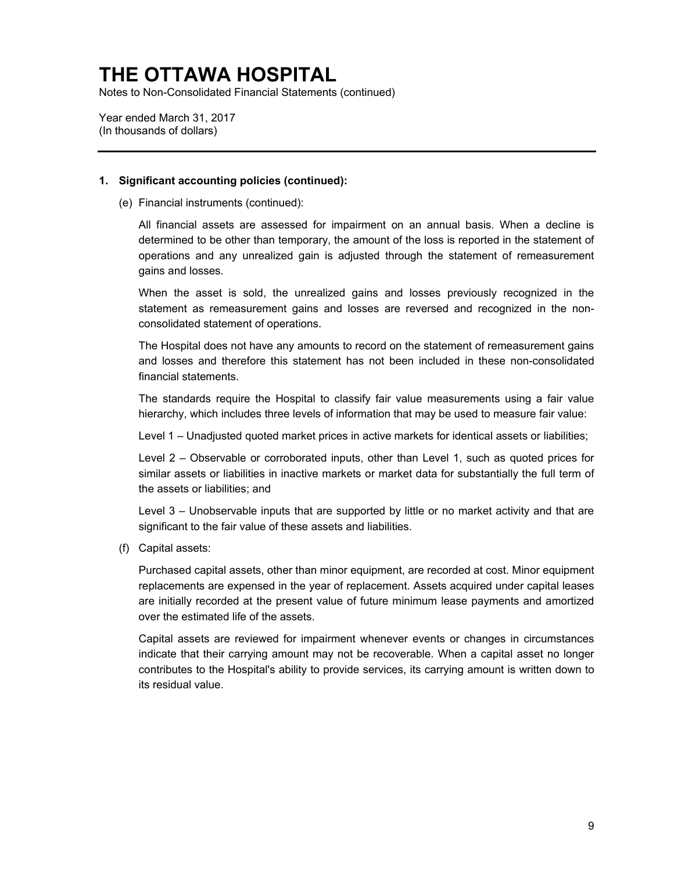Notes to Non-Consolidated Financial Statements (continued)

Year ended March 31, 2017 (In thousands of dollars)

### **1. Significant accounting policies (continued):**

(e) Financial instruments (continued):

All financial assets are assessed for impairment on an annual basis. When a decline is determined to be other than temporary, the amount of the loss is reported in the statement of operations and any unrealized gain is adjusted through the statement of remeasurement gains and losses.

When the asset is sold, the unrealized gains and losses previously recognized in the statement as remeasurement gains and losses are reversed and recognized in the nonconsolidated statement of operations.

The Hospital does not have any amounts to record on the statement of remeasurement gains and losses and therefore this statement has not been included in these non-consolidated financial statements.

The standards require the Hospital to classify fair value measurements using a fair value hierarchy, which includes three levels of information that may be used to measure fair value:

Level 1 – Unadjusted quoted market prices in active markets for identical assets or liabilities;

Level 2 – Observable or corroborated inputs, other than Level 1, such as quoted prices for similar assets or liabilities in inactive markets or market data for substantially the full term of the assets or liabilities; and

Level 3 – Unobservable inputs that are supported by little or no market activity and that are significant to the fair value of these assets and liabilities.

(f) Capital assets:

Purchased capital assets, other than minor equipment, are recorded at cost. Minor equipment replacements are expensed in the year of replacement. Assets acquired under capital leases are initially recorded at the present value of future minimum lease payments and amortized over the estimated life of the assets.

Capital assets are reviewed for impairment whenever events or changes in circumstances indicate that their carrying amount may not be recoverable. When a capital asset no longer contributes to the Hospital's ability to provide services, its carrying amount is written down to its residual value.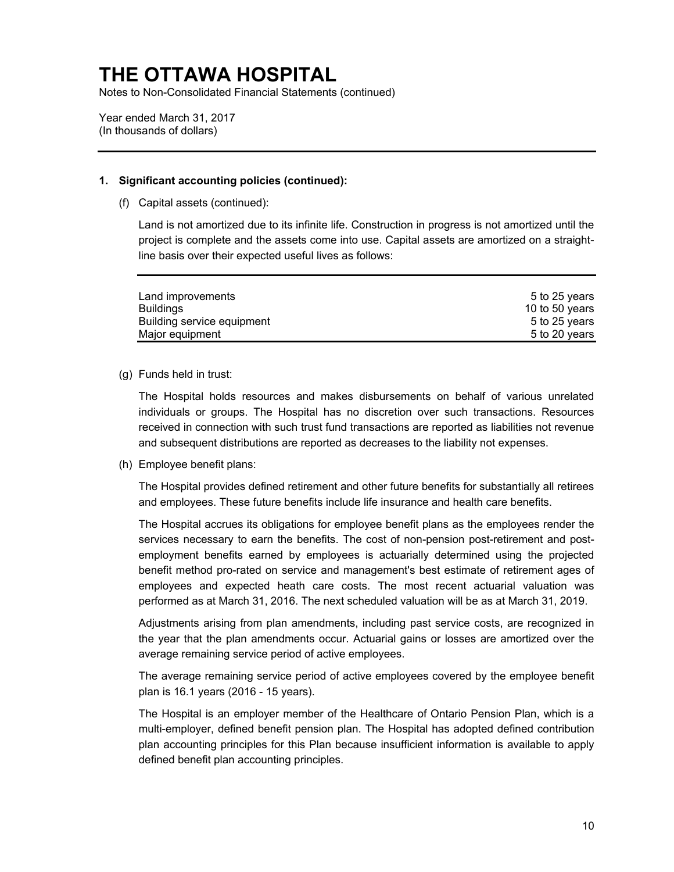Notes to Non-Consolidated Financial Statements (continued)

Year ended March 31, 2017 (In thousands of dollars)

### **1. Significant accounting policies (continued):**

(f) Capital assets (continued):

Land is not amortized due to its infinite life. Construction in progress is not amortized until the project is complete and the assets come into use. Capital assets are amortized on a straightline basis over their expected useful lives as follows:

| Land improvements          | 5 to 25 years  |
|----------------------------|----------------|
| Buildings                  | 10 to 50 years |
| Building service equipment | 5 to 25 years  |
| Major equipment            | 5 to 20 years  |

### (g) Funds held in trust:

The Hospital holds resources and makes disbursements on behalf of various unrelated individuals or groups. The Hospital has no discretion over such transactions. Resources received in connection with such trust fund transactions are reported as liabilities not revenue and subsequent distributions are reported as decreases to the liability not expenses.

(h) Employee benefit plans:

The Hospital provides defined retirement and other future benefits for substantially all retirees and employees. These future benefits include life insurance and health care benefits.

The Hospital accrues its obligations for employee benefit plans as the employees render the services necessary to earn the benefits. The cost of non-pension post-retirement and postemployment benefits earned by employees is actuarially determined using the projected benefit method pro-rated on service and management's best estimate of retirement ages of employees and expected heath care costs. The most recent actuarial valuation was performed as at March 31, 2016. The next scheduled valuation will be as at March 31, 2019.

Adjustments arising from plan amendments, including past service costs, are recognized in the year that the plan amendments occur. Actuarial gains or losses are amortized over the average remaining service period of active employees.

The average remaining service period of active employees covered by the employee benefit plan is 16.1 years (2016 - 15 years).

The Hospital is an employer member of the Healthcare of Ontario Pension Plan, which is a multi-employer, defined benefit pension plan. The Hospital has adopted defined contribution plan accounting principles for this Plan because insufficient information is available to apply defined benefit plan accounting principles.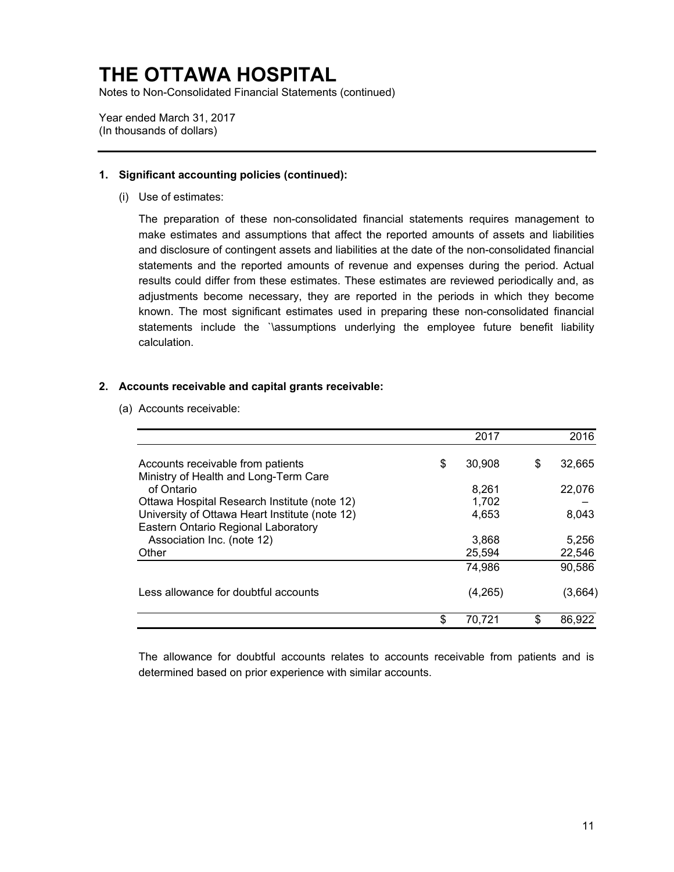Notes to Non-Consolidated Financial Statements (continued)

Year ended March 31, 2017 (In thousands of dollars)

### **1. Significant accounting policies (continued):**

(i) Use of estimates:

The preparation of these non-consolidated financial statements requires management to make estimates and assumptions that affect the reported amounts of assets and liabilities and disclosure of contingent assets and liabilities at the date of the non-consolidated financial statements and the reported amounts of revenue and expenses during the period. Actual results could differ from these estimates. These estimates are reviewed periodically and, as adjustments become necessary, they are reported in the periods in which they become known. The most significant estimates used in preparing these non-consolidated financial statements include the `\assumptions underlying the employee future benefit liability calculation.

## **2. Accounts receivable and capital grants receivable:**

(a) Accounts receivable:

|                                                                                                | 2017            |    | 2016            |
|------------------------------------------------------------------------------------------------|-----------------|----|-----------------|
| Accounts receivable from patients                                                              | \$<br>30,908    | S  | 32,665          |
| Ministry of Health and Long-Term Care<br>of Ontario                                            | 8,261           |    | 22,076          |
| Ottawa Hospital Research Institute (note 12)<br>University of Ottawa Heart Institute (note 12) | 1,702<br>4.653  |    | 8,043           |
| Eastern Ontario Regional Laboratory                                                            |                 |    |                 |
| Association Inc. (note 12)<br>Other                                                            | 3,868<br>25,594 |    | 5,256<br>22,546 |
|                                                                                                | 74,986          |    | 90,586          |
| Less allowance for doubtful accounts                                                           | (4,265)         |    | (3,664)         |
|                                                                                                | \$<br>70,721    | \$ | 86.922          |

The allowance for doubtful accounts relates to accounts receivable from patients and is determined based on prior experience with similar accounts.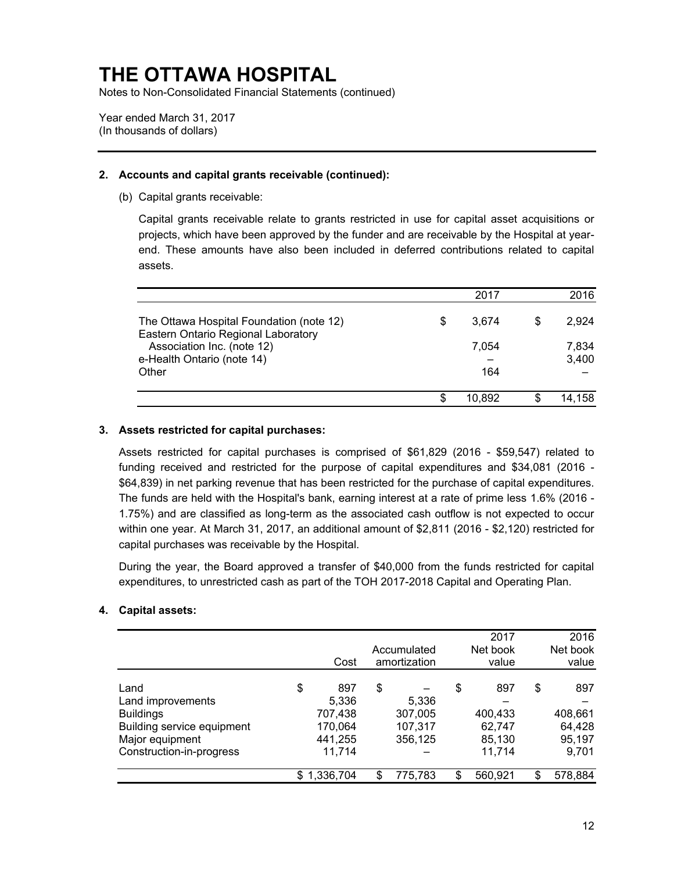Notes to Non-Consolidated Financial Statements (continued)

Year ended March 31, 2017 (In thousands of dollars)

# **2. Accounts and capital grants receivable (continued):**

(b) Capital grants receivable:

Capital grants receivable relate to grants restricted in use for capital asset acquisitions or projects, which have been approved by the funder and are receivable by the Hospital at yearend. These amounts have also been included in deferred contributions related to capital assets.

|                                                                                 | 2017        |   | 2016           |
|---------------------------------------------------------------------------------|-------------|---|----------------|
| The Ottawa Hospital Foundation (note 12)<br>Eastern Ontario Regional Laboratory | \$<br>3,674 | S | 2.924          |
| Association Inc. (note 12)<br>e-Health Ontario (note 14)                        | 7.054       |   | 7,834<br>3,400 |
| Other                                                                           | 164         |   |                |
|                                                                                 | 10.892      |   | 14,158         |

### **3. Assets restricted for capital purchases:**

Assets restricted for capital purchases is comprised of \$61,829 (2016 - \$59,547) related to funding received and restricted for the purpose of capital expenditures and \$34,081 (2016 - \$64,839) in net parking revenue that has been restricted for the purchase of capital expenditures. The funds are held with the Hospital's bank, earning interest at a rate of prime less 1.6% (2016 - 1.75%) and are classified as long-term as the associated cash outflow is not expected to occur within one year. At March 31, 2017, an additional amount of \$2,811 (2016 - \$2,120) restricted for capital purchases was receivable by the Hospital.

During the year, the Board approved a transfer of \$40,000 from the funds restricted for capital expenditures, to unrestricted cash as part of the TOH 2017-2018 Capital and Operating Plan.

### **4. Capital assets:**

|                                                                                                                            |    | Cost                                                    |     | Accumulated<br>amortization            | 2017<br>Net book<br>value                          | 2016<br>Net book<br>value                         |
|----------------------------------------------------------------------------------------------------------------------------|----|---------------------------------------------------------|-----|----------------------------------------|----------------------------------------------------|---------------------------------------------------|
| Land<br>Land improvements<br><b>Buildings</b><br>Building service equipment<br>Major equipment<br>Construction-in-progress | \$ | 897<br>5,336<br>707,438<br>170,064<br>441,255<br>11,714 | \$  | 5,336<br>307,005<br>107,317<br>356,125 | \$<br>897<br>400,433<br>62,747<br>85,130<br>11,714 | \$<br>897<br>408,661<br>64,428<br>95,197<br>9,701 |
|                                                                                                                            | S  | 1,336,704                                               | \$. | 775,783                                | 560,921                                            | 578,884                                           |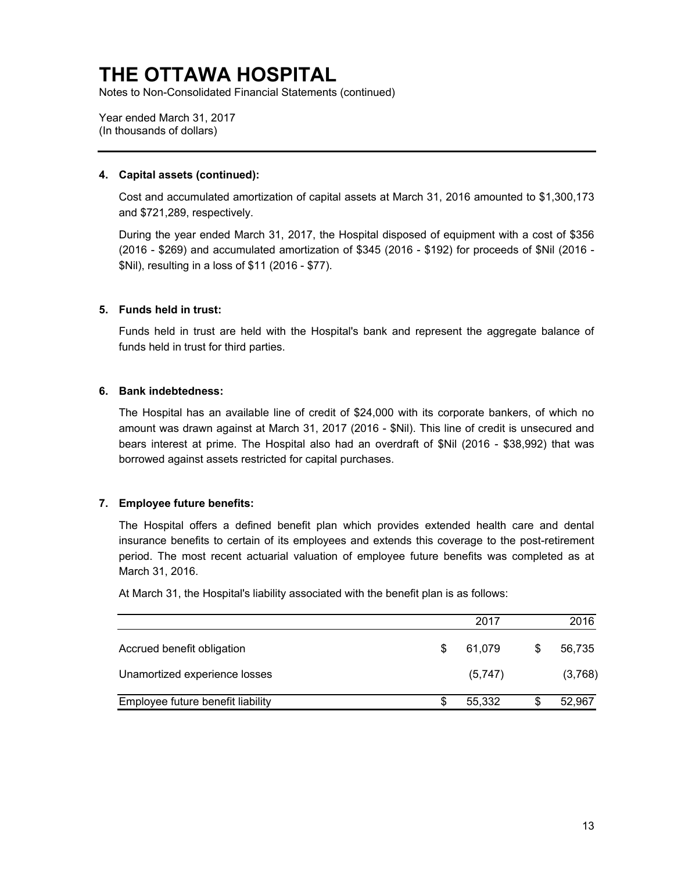Notes to Non-Consolidated Financial Statements (continued)

Year ended March 31, 2017 (In thousands of dollars)

### **4. Capital assets (continued):**

Cost and accumulated amortization of capital assets at March 31, 2016 amounted to \$1,300,173 and \$721,289, respectively.

During the year ended March 31, 2017, the Hospital disposed of equipment with a cost of \$356 (2016 - \$269) and accumulated amortization of \$345 (2016 - \$192) for proceeds of \$Nil (2016 - \$Nil), resulting in a loss of \$11 (2016 - \$77).

### **5. Funds held in trust:**

Funds held in trust are held with the Hospital's bank and represent the aggregate balance of funds held in trust for third parties.

### **6. Bank indebtedness:**

The Hospital has an available line of credit of \$24,000 with its corporate bankers, of which no amount was drawn against at March 31, 2017 (2016 - \$Nil). This line of credit is unsecured and bears interest at prime. The Hospital also had an overdraft of \$Nil (2016 - \$38,992) that was borrowed against assets restricted for capital purchases.

### **7. Employee future benefits:**

The Hospital offers a defined benefit plan which provides extended health care and dental insurance benefits to certain of its employees and extends this coverage to the post-retirement period. The most recent actuarial valuation of employee future benefits was completed as at March 31, 2016.

At March 31, the Hospital's liability associated with the benefit plan is as follows:

|                                   |   | 2017    |   | 2016    |
|-----------------------------------|---|---------|---|---------|
| Accrued benefit obligation        | S | 61.079  | S | 56,735  |
| Unamortized experience losses     |   | (5,747) |   | (3,768) |
| Employee future benefit liability |   | 55.332  |   | 52,967  |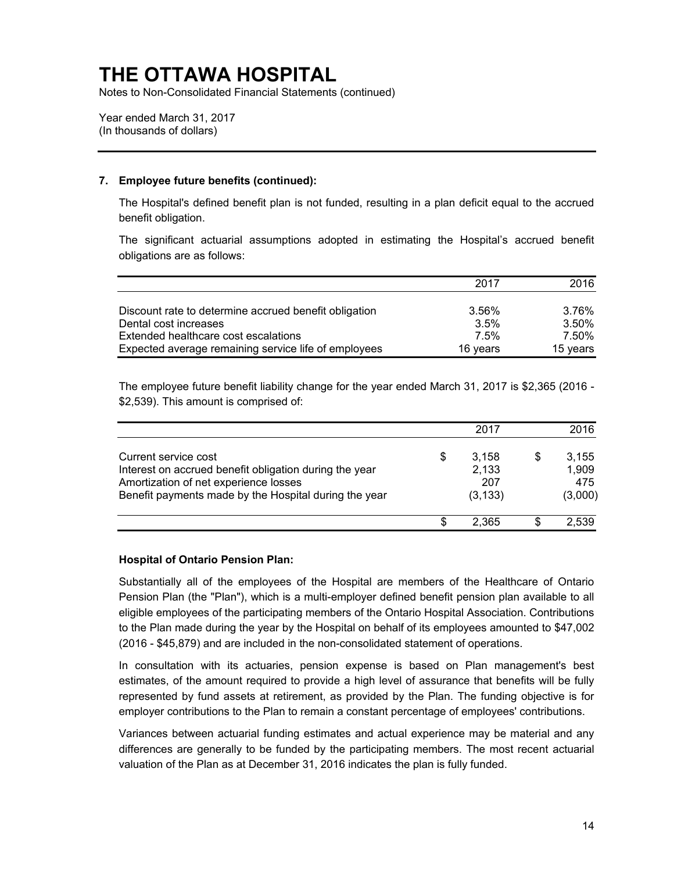Notes to Non-Consolidated Financial Statements (continued)

Year ended March 31, 2017 (In thousands of dollars)

### **7. Employee future benefits (continued):**

The Hospital's defined benefit plan is not funded, resulting in a plan deficit equal to the accrued benefit obligation.

The significant actuarial assumptions adopted in estimating the Hospital's accrued benefit obligations are as follows:

|                                                       | 2017     | 2016     |
|-------------------------------------------------------|----------|----------|
| Discount rate to determine accrued benefit obligation | 3.56%    | 3.76%    |
| Dental cost increases                                 | 3.5%     | 3.50%    |
| Extended healthcare cost escalations                  | 7.5%     | 7.50%    |
| Expected average remaining service life of employees  | 16 years | 15 years |

The employee future benefit liability change for the year ended March 31, 2017 is \$2,365 (2016 - \$2,539). This amount is comprised of:

|                                                                                                                                                                                  |   | 2017                              | 2016                             |
|----------------------------------------------------------------------------------------------------------------------------------------------------------------------------------|---|-----------------------------------|----------------------------------|
| Current service cost<br>Interest on accrued benefit obligation during the year<br>Amortization of net experience losses<br>Benefit payments made by the Hospital during the year | S | 3,158<br>2,133<br>207<br>(3, 133) | 3,155<br>1,909<br>475<br>(3,000) |
|                                                                                                                                                                                  | S | 2.365                             | 2,539                            |

#### **Hospital of Ontario Pension Plan:**

Substantially all of the employees of the Hospital are members of the Healthcare of Ontario Pension Plan (the "Plan"), which is a multi-employer defined benefit pension plan available to all eligible employees of the participating members of the Ontario Hospital Association. Contributions to the Plan made during the year by the Hospital on behalf of its employees amounted to \$47,002 (2016 - \$45,879) and are included in the non-consolidated statement of operations.

In consultation with its actuaries, pension expense is based on Plan management's best estimates, of the amount required to provide a high level of assurance that benefits will be fully represented by fund assets at retirement, as provided by the Plan. The funding objective is for employer contributions to the Plan to remain a constant percentage of employees' contributions.

Variances between actuarial funding estimates and actual experience may be material and any differences are generally to be funded by the participating members. The most recent actuarial valuation of the Plan as at December 31, 2016 indicates the plan is fully funded.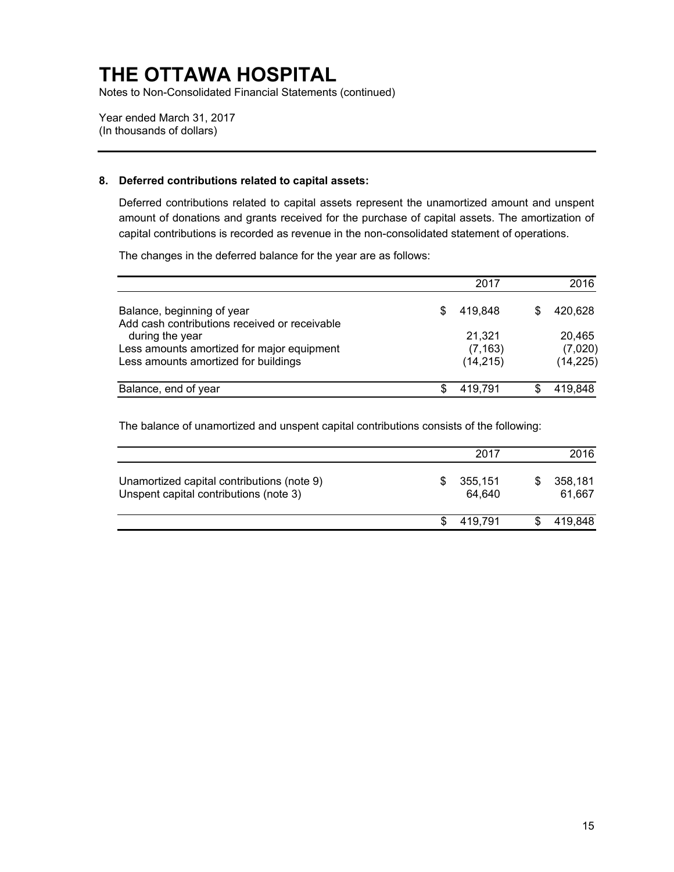Notes to Non-Consolidated Financial Statements (continued)

Year ended March 31, 2017 (In thousands of dollars)

### **8. Deferred contributions related to capital assets:**

Deferred contributions related to capital assets represent the unamortized amount and unspent amount of donations and grants received for the purchase of capital assets. The amortization of capital contributions is recorded as revenue in the non-consolidated statement of operations.

The changes in the deferred balance for the year are as follows:

|                                                                  | 2017          | 2016      |
|------------------------------------------------------------------|---------------|-----------|
| Balance, beginning of year                                       | \$<br>419.848 | 420,628   |
| Add cash contributions received or receivable<br>during the year | 21,321        | 20.465    |
| Less amounts amortized for major equipment                       | (7, 163)      | (7,020)   |
| Less amounts amortized for buildings                             | (14, 215)     | (14, 225) |
| Balance, end of year                                             | 419,791       | 419,848   |

The balance of unamortized and unspent capital contributions consists of the following:

|                                                                                      | 2017              | 2016              |
|--------------------------------------------------------------------------------------|-------------------|-------------------|
| Unamortized capital contributions (note 9)<br>Unspent capital contributions (note 3) | 355,151<br>64.640 | 358,181<br>61,667 |
|                                                                                      | 419.791           | 419,848           |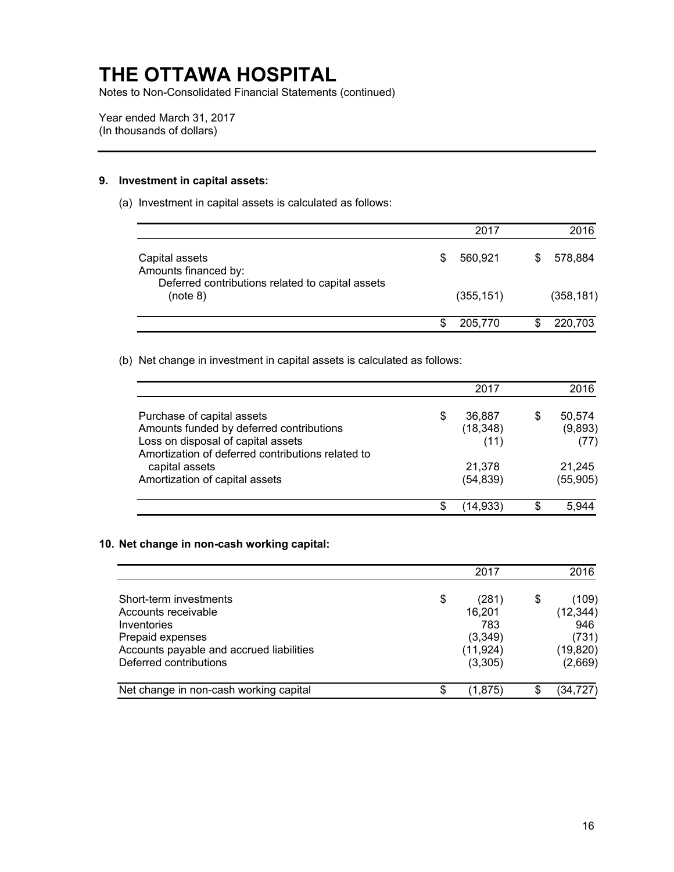Notes to Non-Consolidated Financial Statements (continued)

Year ended March 31, 2017 (In thousands of dollars)

#### **9. Investment in capital assets:**

(a) Investment in capital assets is calculated as follows:

|                                                                                                        | 2017          | 2016       |
|--------------------------------------------------------------------------------------------------------|---------------|------------|
| Capital assets<br>Amounts financed by:<br>Deferred contributions related to capital assets<br>(note 8) | \$<br>560,921 | 578,884    |
|                                                                                                        | (355, 151)    | (358, 181) |
|                                                                                                        | 205,770       | 220,703    |

(b) Net change in investment in capital assets is calculated as follows:

|                                                                                         |   | 2017                |     | 2016                |
|-----------------------------------------------------------------------------------------|---|---------------------|-----|---------------------|
| Purchase of capital assets<br>Amounts funded by deferred contributions                  | S | 36,887<br>(18, 348) | S   | 50,574<br>(9,893)   |
| Loss on disposal of capital assets<br>Amortization of deferred contributions related to |   | (11)                |     | (77)                |
| capital assets<br>Amortization of capital assets                                        |   | 21,378<br>(54, 839) |     | 21.245<br>(55, 905) |
|                                                                                         |   | (14, 933)           | \$. | 5 944               |

#### **10. Net change in non-cash working capital:**

|                                          | 2017          | 2016        |
|------------------------------------------|---------------|-------------|
| Short-term investments                   | \$<br>(281)   | \$<br>(109) |
| Accounts receivable                      | 16,201        | (12, 344)   |
| Inventories                              | 783           | 946         |
| Prepaid expenses                         | (3, 349)      | (731)       |
| Accounts payable and accrued liabilities | (11, 924)     | (19, 820)   |
| Deferred contributions                   | (3,305)       | (2,669)     |
| Net change in non-cash working capital   | \$<br>(1,875) | (34, 727)   |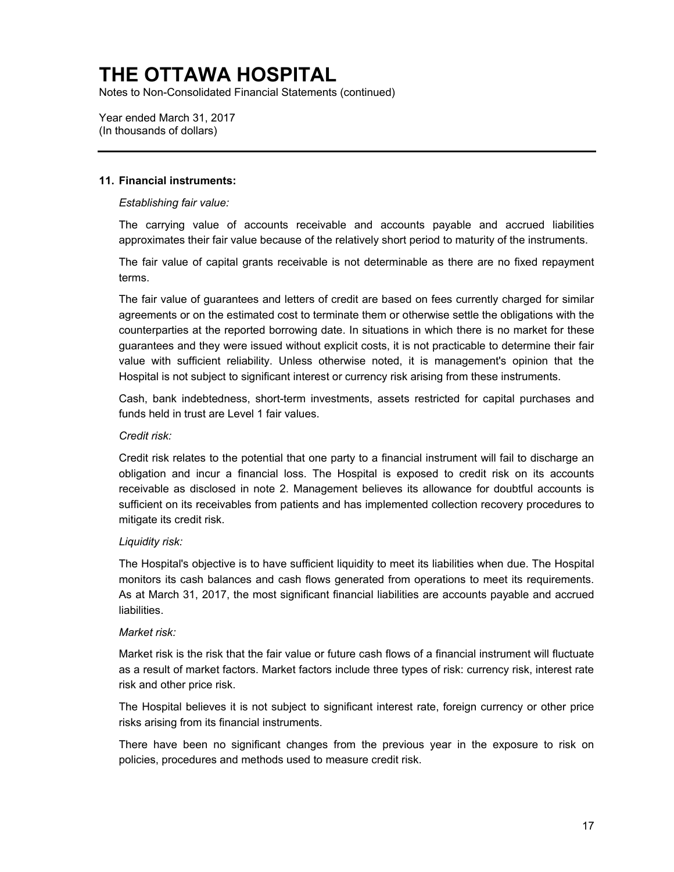Notes to Non-Consolidated Financial Statements (continued)

Year ended March 31, 2017 (In thousands of dollars)

### **11. Financial instruments:**

### *Establishing fair value:*

The carrying value of accounts receivable and accounts payable and accrued liabilities approximates their fair value because of the relatively short period to maturity of the instruments.

The fair value of capital grants receivable is not determinable as there are no fixed repayment terms.

The fair value of guarantees and letters of credit are based on fees currently charged for similar agreements or on the estimated cost to terminate them or otherwise settle the obligations with the counterparties at the reported borrowing date. In situations in which there is no market for these guarantees and they were issued without explicit costs, it is not practicable to determine their fair value with sufficient reliability. Unless otherwise noted, it is management's opinion that the Hospital is not subject to significant interest or currency risk arising from these instruments.

Cash, bank indebtedness, short-term investments, assets restricted for capital purchases and funds held in trust are Level 1 fair values.

#### *Credit risk:*

Credit risk relates to the potential that one party to a financial instrument will fail to discharge an obligation and incur a financial loss. The Hospital is exposed to credit risk on its accounts receivable as disclosed in note 2. Management believes its allowance for doubtful accounts is sufficient on its receivables from patients and has implemented collection recovery procedures to mitigate its credit risk.

#### *Liquidity risk:*

The Hospital's objective is to have sufficient liquidity to meet its liabilities when due. The Hospital monitors its cash balances and cash flows generated from operations to meet its requirements. As at March 31, 2017, the most significant financial liabilities are accounts payable and accrued liabilities.

#### *Market risk:*

Market risk is the risk that the fair value or future cash flows of a financial instrument will fluctuate as a result of market factors. Market factors include three types of risk: currency risk, interest rate risk and other price risk.

The Hospital believes it is not subject to significant interest rate, foreign currency or other price risks arising from its financial instruments.

There have been no significant changes from the previous year in the exposure to risk on policies, procedures and methods used to measure credit risk.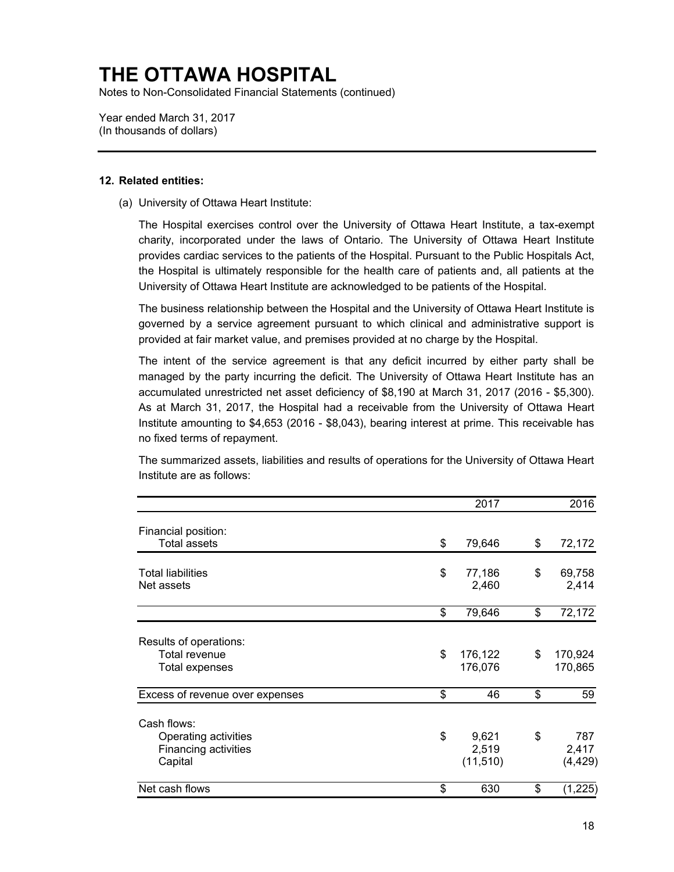Notes to Non-Consolidated Financial Statements (continued)

Year ended March 31, 2017 (In thousands of dollars)

### **12. Related entities:**

(a) University of Ottawa Heart Institute:

The Hospital exercises control over the University of Ottawa Heart Institute, a tax-exempt charity, incorporated under the laws of Ontario. The University of Ottawa Heart Institute provides cardiac services to the patients of the Hospital. Pursuant to the Public Hospitals Act, the Hospital is ultimately responsible for the health care of patients and, all patients at the University of Ottawa Heart Institute are acknowledged to be patients of the Hospital.

The business relationship between the Hospital and the University of Ottawa Heart Institute is governed by a service agreement pursuant to which clinical and administrative support is provided at fair market value, and premises provided at no charge by the Hospital.

The intent of the service agreement is that any deficit incurred by either party shall be managed by the party incurring the deficit. The University of Ottawa Heart Institute has an accumulated unrestricted net asset deficiency of \$8,190 at March 31, 2017 (2016 - \$5,300). As at March 31, 2017, the Hospital had a receivable from the University of Ottawa Heart Institute amounting to \$4,653 (2016 - \$8,043), bearing interest at prime. This receivable has no fixed terms of repayment.

The summarized assets, liabilities and results of operations for the University of Ottawa Heart Institute are as follows:

|                                 | 2017          | 2016           |
|---------------------------------|---------------|----------------|
| Financial position:             |               |                |
| <b>Total assets</b>             | \$<br>79,646  | \$<br>72,172   |
| <b>Total liabilities</b>        | \$<br>77,186  | \$<br>69,758   |
| Net assets                      | 2,460         | 2,414          |
|                                 | \$<br>79,646  | \$<br>72,172   |
| Results of operations:          |               |                |
| Total revenue                   | \$<br>176,122 | \$<br>170,924  |
| Total expenses                  | 176,076       | 170,865        |
| Excess of revenue over expenses | \$<br>46      | \$<br>59       |
| Cash flows:                     |               |                |
| Operating activities            | \$<br>9,621   | \$<br>787      |
| Financing activities            | 2,519         | 2,417          |
| Capital                         | (11, 510)     | (4, 429)       |
| Net cash flows                  | \$<br>630     | \$<br>(1, 225) |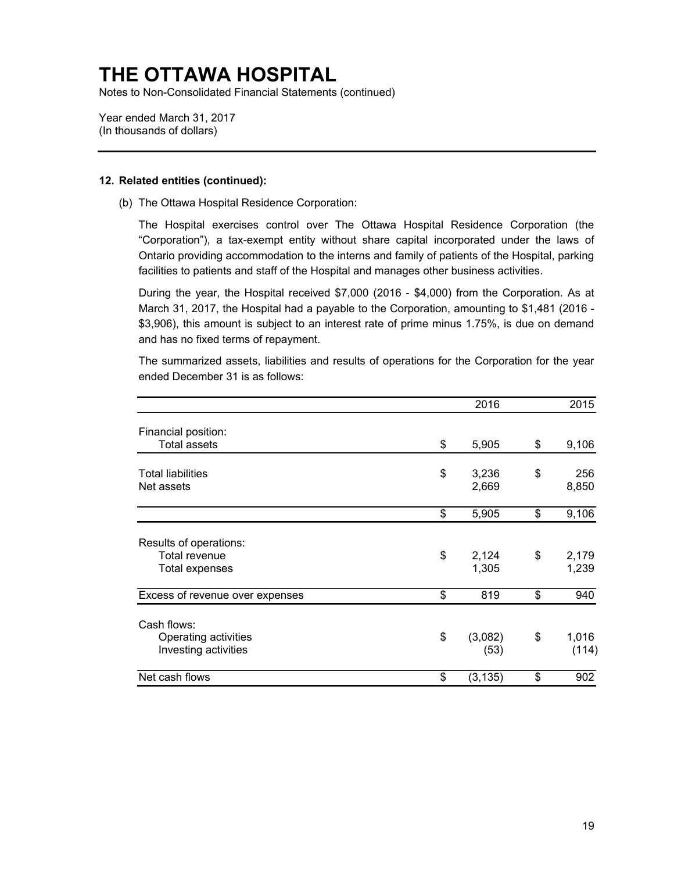Notes to Non-Consolidated Financial Statements (continued)

Year ended March 31, 2017 (In thousands of dollars)

### **12. Related entities (continued):**

(b) The Ottawa Hospital Residence Corporation:

The Hospital exercises control over The Ottawa Hospital Residence Corporation (the "Corporation"), a tax-exempt entity without share capital incorporated under the laws of Ontario providing accommodation to the interns and family of patients of the Hospital, parking facilities to patients and staff of the Hospital and manages other business activities.

During the year, the Hospital received \$7,000 (2016 - \$4,000) from the Corporation. As at March 31, 2017, the Hospital had a payable to the Corporation, amounting to \$1,481 (2016 - \$3,906), this amount is subject to an interest rate of prime minus 1.75%, is due on demand and has no fixed terms of repayment.

The summarized assets, liabilities and results of operations for the Corporation for the year ended December 31 is as follows:

|                                              | 2016                  | 2015                 |
|----------------------------------------------|-----------------------|----------------------|
| Financial position:<br><b>Total assets</b>   | \$<br>5,905           | \$<br>9,106          |
|                                              |                       |                      |
| <b>Total liabilities</b><br>Net assets       | \$<br>3,236<br>2,669  | \$<br>256<br>8,850   |
|                                              | \$<br>5,905           | \$<br>9,106          |
| Results of operations:                       |                       |                      |
| Total revenue<br>Total expenses              | \$<br>2,124<br>1,305  | \$<br>2,179<br>1,239 |
| Excess of revenue over expenses              | \$<br>819             | \$<br>940            |
| Cash flows:                                  |                       |                      |
| Operating activities<br>Investing activities | \$<br>(3,082)<br>(53) | \$<br>1,016<br>(114) |
| Net cash flows                               | \$<br>(3, 135)        | \$<br>902            |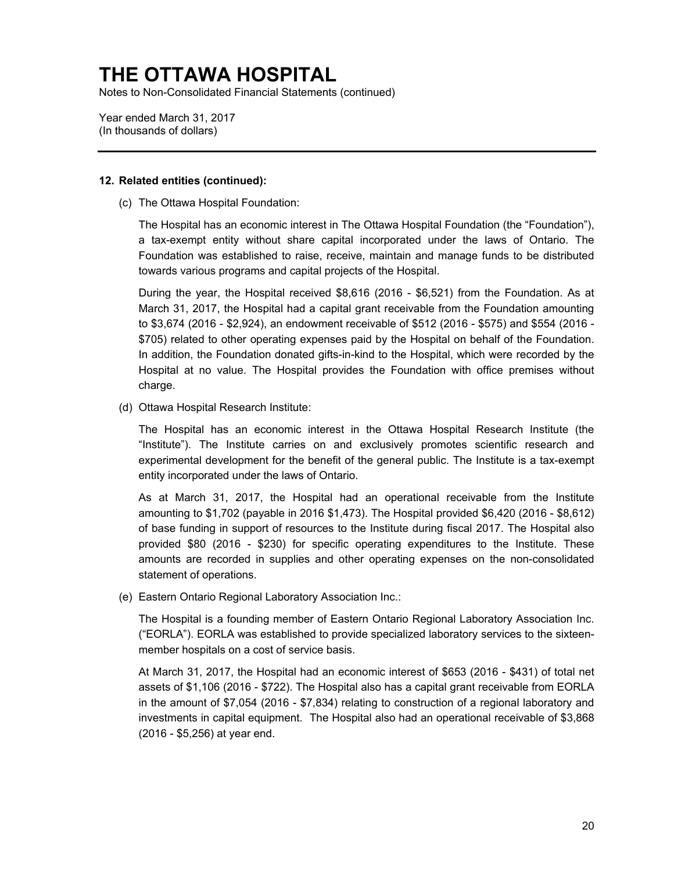Notes to Non-Consolidated Financial Statements (continued)

Year ended March 31, 2017 (In thousands of dollars)

### **12. Related entities (continued):**

(c) The Ottawa Hospital Foundation:

The Hospital has an economic interest in The Ottawa Hospital Foundation (the "Foundation"), a tax-exempt entity without share capital incorporated under the laws of Ontario. The Foundation was established to raise, receive, maintain and manage funds to be distributed towards various programs and capital projects of the Hospital.

During the year, the Hospital received \$8,616 (2016 - \$6,521) from the Foundation. As at March 31, 2017, the Hospital had a capital grant receivable from the Foundation amounting to \$3,674 (2016 - \$2,924), an endowment receivable of \$512 (2016 - \$575) and \$554 (2016 - \$705) related to other operating expenses paid by the Hospital on behalf of the Foundation. In addition, the Foundation donated gifts-in-kind to the Hospital, which were recorded by the Hospital at no value. The Hospital provides the Foundation with office premises without charge.

(d) Ottawa Hospital Research Institute:

The Hospital has an economic interest in the Ottawa Hospital Research Institute (the "Institute"). The Institute carries on and exclusively promotes scientific research and experimental development for the benefit of the general public. The Institute is a tax-exempt entity incorporated under the laws of Ontario.

As at March 31, 2017, the Hospital had an operational receivable from the Institute amounting to \$1,702 (payable in 2016 \$1,473). The Hospital provided \$6,420 (2016 - \$8,612) of base funding in support of resources to the Institute during fiscal 2017. The Hospital also provided \$80 (2016 - \$230) for specific operating expenditures to the Institute. These amounts are recorded in supplies and other operating expenses on the non-consolidated statement of operations.

(e) Eastern Ontario Regional Laboratory Association Inc.:

The Hospital is a founding member of Eastern Ontario Regional Laboratory Association Inc. ("EORLA"). EORLA was established to provide specialized laboratory services to the sixteenmember hospitals on a cost of service basis.

At March 31, 2017, the Hospital had an economic interest of \$653 (2016 - \$431) of total net assets of \$1,106 (2016 - \$722). The Hospital also has a capital grant receivable from EORLA in the amount of \$7,054 (2016 - \$7,834) relating to construction of a regional laboratory and investments in capital equipment. The Hospital also had an operational receivable of \$3,868 (2016 - \$5,256) at year end.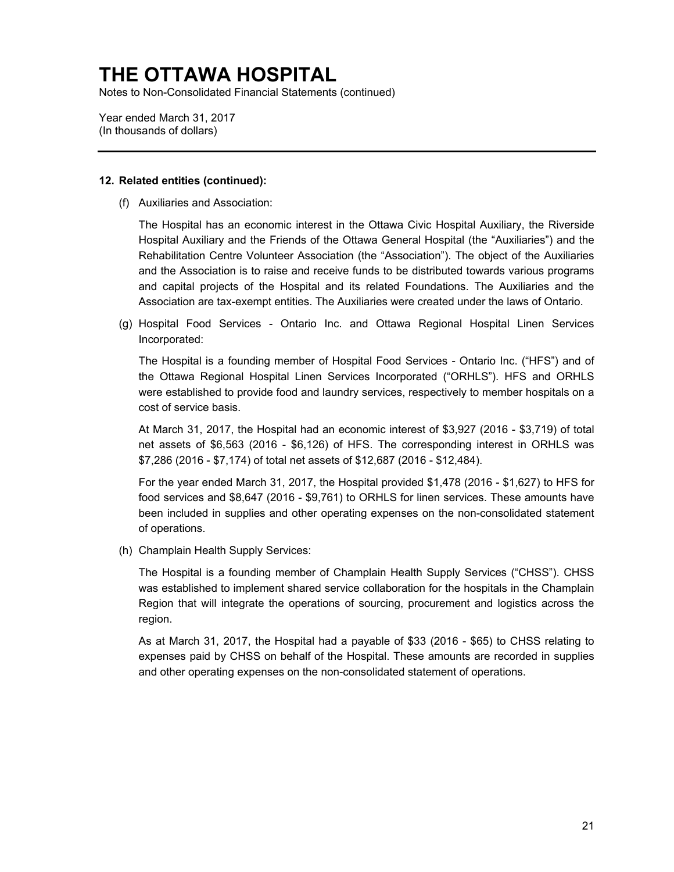Notes to Non-Consolidated Financial Statements (continued)

Year ended March 31, 2017 (In thousands of dollars)

### **12. Related entities (continued):**

(f) Auxiliaries and Association:

The Hospital has an economic interest in the Ottawa Civic Hospital Auxiliary, the Riverside Hospital Auxiliary and the Friends of the Ottawa General Hospital (the "Auxiliaries") and the Rehabilitation Centre Volunteer Association (the "Association"). The object of the Auxiliaries and the Association is to raise and receive funds to be distributed towards various programs and capital projects of the Hospital and its related Foundations. The Auxiliaries and the Association are tax-exempt entities. The Auxiliaries were created under the laws of Ontario.

(g) Hospital Food Services - Ontario Inc. and Ottawa Regional Hospital Linen Services Incorporated:

The Hospital is a founding member of Hospital Food Services - Ontario Inc. ("HFS") and of the Ottawa Regional Hospital Linen Services Incorporated ("ORHLS"). HFS and ORHLS were established to provide food and laundry services, respectively to member hospitals on a cost of service basis.

At March 31, 2017, the Hospital had an economic interest of \$3,927 (2016 - \$3,719) of total net assets of \$6,563 (2016 - \$6,126) of HFS. The corresponding interest in ORHLS was \$7,286 (2016 - \$7,174) of total net assets of \$12,687 (2016 - \$12,484).

For the year ended March 31, 2017, the Hospital provided \$1,478 (2016 - \$1,627) to HFS for food services and \$8,647 (2016 - \$9,761) to ORHLS for linen services. These amounts have been included in supplies and other operating expenses on the non-consolidated statement of operations.

(h) Champlain Health Supply Services:

The Hospital is a founding member of Champlain Health Supply Services ("CHSS"). CHSS was established to implement shared service collaboration for the hospitals in the Champlain Region that will integrate the operations of sourcing, procurement and logistics across the region.

As at March 31, 2017, the Hospital had a payable of \$33 (2016 - \$65) to CHSS relating to expenses paid by CHSS on behalf of the Hospital. These amounts are recorded in supplies and other operating expenses on the non-consolidated statement of operations.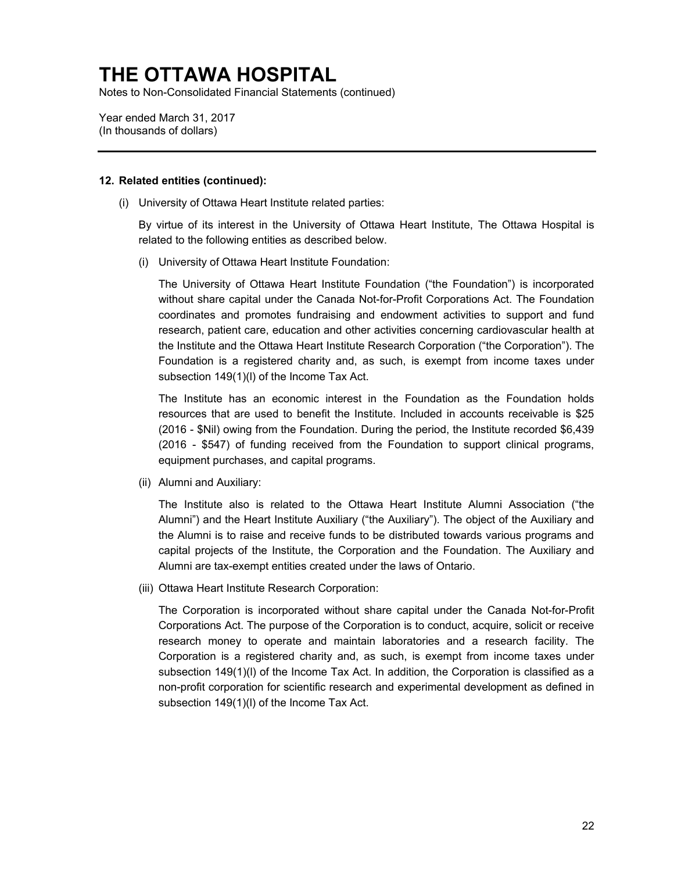Notes to Non-Consolidated Financial Statements (continued)

Year ended March 31, 2017 (In thousands of dollars)

#### **12. Related entities (continued):**

(i) University of Ottawa Heart Institute related parties:

By virtue of its interest in the University of Ottawa Heart Institute, The Ottawa Hospital is related to the following entities as described below.

(i) University of Ottawa Heart Institute Foundation:

The University of Ottawa Heart Institute Foundation ("the Foundation") is incorporated without share capital under the Canada Not-for-Profit Corporations Act. The Foundation coordinates and promotes fundraising and endowment activities to support and fund research, patient care, education and other activities concerning cardiovascular health at the Institute and the Ottawa Heart Institute Research Corporation ("the Corporation"). The Foundation is a registered charity and, as such, is exempt from income taxes under subsection 149(1)(l) of the Income Tax Act.

The Institute has an economic interest in the Foundation as the Foundation holds resources that are used to benefit the Institute. Included in accounts receivable is \$25 (2016 - \$Nil) owing from the Foundation. During the period, the Institute recorded \$6,439 (2016 - \$547) of funding received from the Foundation to support clinical programs, equipment purchases, and capital programs.

(ii) Alumni and Auxiliary:

The Institute also is related to the Ottawa Heart Institute Alumni Association ("the Alumni") and the Heart Institute Auxiliary ("the Auxiliary"). The object of the Auxiliary and the Alumni is to raise and receive funds to be distributed towards various programs and capital projects of the Institute, the Corporation and the Foundation. The Auxiliary and Alumni are tax-exempt entities created under the laws of Ontario.

(iii) Ottawa Heart Institute Research Corporation:

The Corporation is incorporated without share capital under the Canada Not-for-Profit Corporations Act. The purpose of the Corporation is to conduct, acquire, solicit or receive research money to operate and maintain laboratories and a research facility. The Corporation is a registered charity and, as such, is exempt from income taxes under subsection 149(1)(l) of the Income Tax Act. In addition, the Corporation is classified as a non-profit corporation for scientific research and experimental development as defined in subsection 149(1)(l) of the Income Tax Act.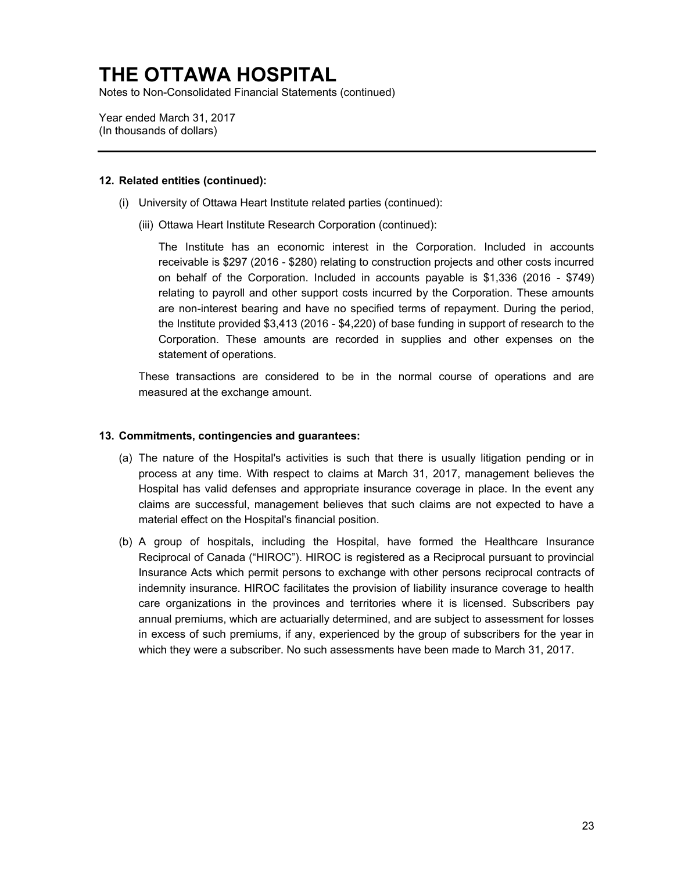Notes to Non-Consolidated Financial Statements (continued)

Year ended March 31, 2017 (In thousands of dollars)

### **12. Related entities (continued):**

- (i) University of Ottawa Heart Institute related parties (continued):
	- (iii) Ottawa Heart Institute Research Corporation (continued):

The Institute has an economic interest in the Corporation. Included in accounts receivable is \$297 (2016 - \$280) relating to construction projects and other costs incurred on behalf of the Corporation. Included in accounts payable is \$1,336 (2016 - \$749) relating to payroll and other support costs incurred by the Corporation. These amounts are non-interest bearing and have no specified terms of repayment. During the period, the Institute provided \$3,413 (2016 - \$4,220) of base funding in support of research to the Corporation. These amounts are recorded in supplies and other expenses on the statement of operations.

These transactions are considered to be in the normal course of operations and are measured at the exchange amount.

### **13. Commitments, contingencies and guarantees:**

- (a) The nature of the Hospital's activities is such that there is usually litigation pending or in process at any time. With respect to claims at March 31, 2017, management believes the Hospital has valid defenses and appropriate insurance coverage in place. In the event any claims are successful, management believes that such claims are not expected to have a material effect on the Hospital's financial position.
- (b) A group of hospitals, including the Hospital, have formed the Healthcare Insurance Reciprocal of Canada ("HIROC"). HIROC is registered as a Reciprocal pursuant to provincial Insurance Acts which permit persons to exchange with other persons reciprocal contracts of indemnity insurance. HIROC facilitates the provision of liability insurance coverage to health care organizations in the provinces and territories where it is licensed. Subscribers pay annual premiums, which are actuarially determined, and are subject to assessment for losses in excess of such premiums, if any, experienced by the group of subscribers for the year in which they were a subscriber. No such assessments have been made to March 31, 2017.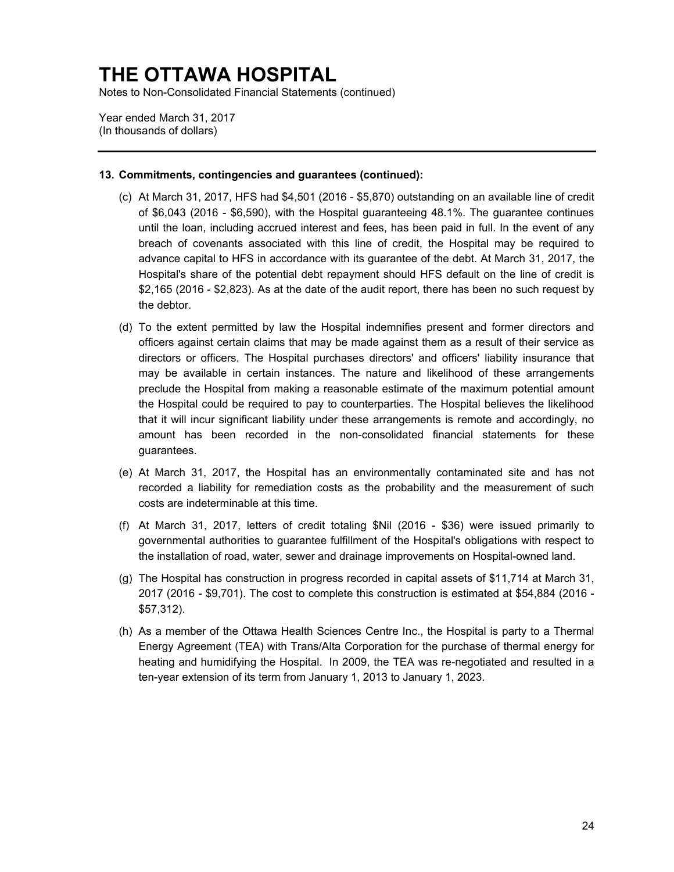Notes to Non-Consolidated Financial Statements (continued)

Year ended March 31, 2017 (In thousands of dollars)

### **13. Commitments, contingencies and guarantees (continued):**

- (c) At March 31, 2017, HFS had \$4,501 (2016 \$5,870) outstanding on an available line of credit of \$6,043 (2016 - \$6,590), with the Hospital guaranteeing 48.1%. The guarantee continues until the loan, including accrued interest and fees, has been paid in full. In the event of any breach of covenants associated with this line of credit, the Hospital may be required to advance capital to HFS in accordance with its guarantee of the debt. At March 31, 2017, the Hospital's share of the potential debt repayment should HFS default on the line of credit is \$2,165 (2016 - \$2,823). As at the date of the audit report, there has been no such request by the debtor.
- (d) To the extent permitted by law the Hospital indemnifies present and former directors and officers against certain claims that may be made against them as a result of their service as directors or officers. The Hospital purchases directors' and officers' liability insurance that may be available in certain instances. The nature and likelihood of these arrangements preclude the Hospital from making a reasonable estimate of the maximum potential amount the Hospital could be required to pay to counterparties. The Hospital believes the likelihood that it will incur significant liability under these arrangements is remote and accordingly, no amount has been recorded in the non-consolidated financial statements for these guarantees.
- (e) At March 31, 2017, the Hospital has an environmentally contaminated site and has not recorded a liability for remediation costs as the probability and the measurement of such costs are indeterminable at this time.
- (f) At March 31, 2017, letters of credit totaling \$Nil (2016 \$36) were issued primarily to governmental authorities to guarantee fulfillment of the Hospital's obligations with respect to the installation of road, water, sewer and drainage improvements on Hospital-owned land.
- (g) The Hospital has construction in progress recorded in capital assets of \$11,714 at March 31, 2017 (2016 - \$9,701). The cost to complete this construction is estimated at \$54,884 (2016 - \$57,312).
- (h) As a member of the Ottawa Health Sciences Centre Inc., the Hospital is party to a Thermal Energy Agreement (TEA) with Trans/Alta Corporation for the purchase of thermal energy for heating and humidifying the Hospital. In 2009, the TEA was re-negotiated and resulted in a ten-year extension of its term from January 1, 2013 to January 1, 2023.